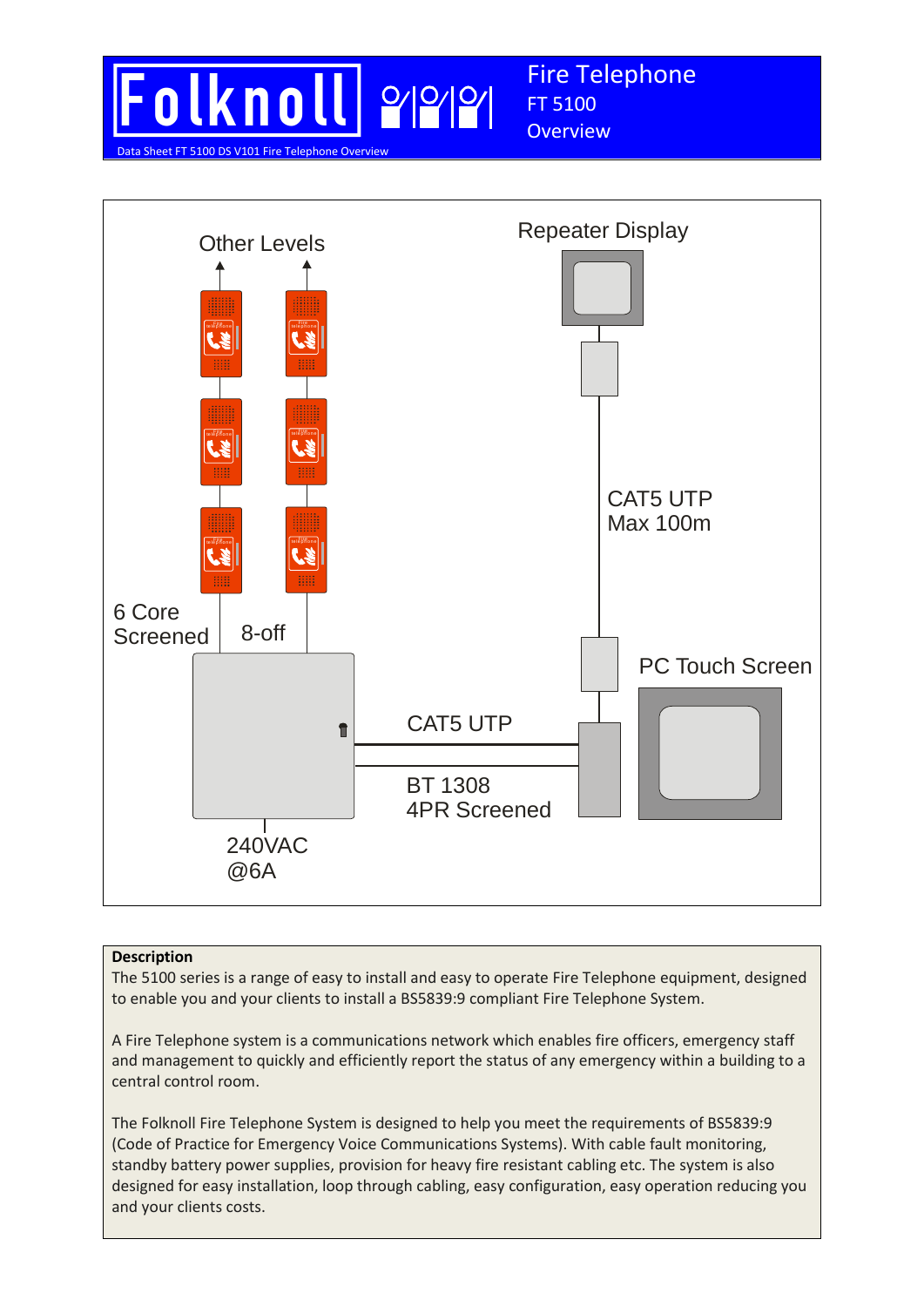



Fire Telephone

FT 5100 **Overview** 

## **Description**

The 5100 series is a range of easy to install and easy to operate Fire Telephone equipment, designed to enable you and your clients to install a BS5839:9 compliant Fire Telephone System.

A Fire Telephone system is a communications network which enables fire officers, emergency staff and management to quickly and efficiently report the status of any emergency within a building to a central control room.

The Folknoll Fire Telephone System is designed to help you meet the requirements of BS5839:9 (Code of Practice for Emergency Voice Communications Systems). With cable fault monitoring, standby battery power supplies, provision for heavy fire resistant cabling etc. The system is also designed for easy installation, loop through cabling, easy configuration, easy operation reducing you and your clients costs.